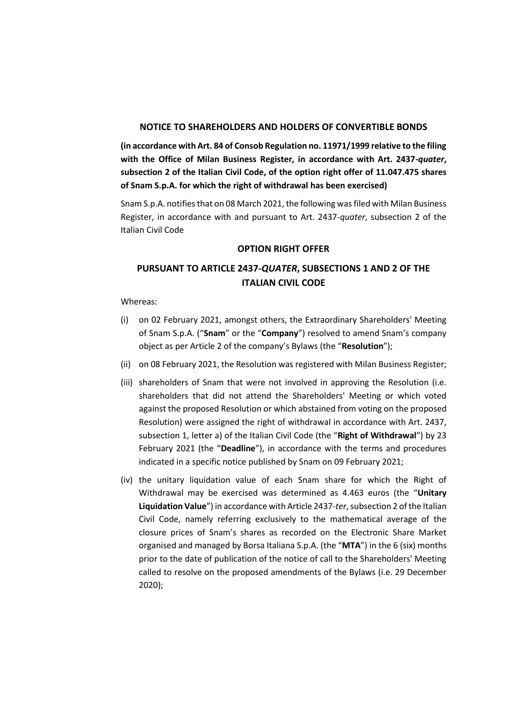#### **NOTICE TO SHAREHOLDERS AND HOLDERS OF CONVERTIBLE BONDS**

**(in accordance with Art. 84 of Consob Regulation no. 11971/1999 relative to the filing with the Office of Milan Business Register, in accordance with Art. 2437-***quater***, subsection 2 of the Italian Civil Code, of the option right offer of 11.047.475 shares of Snam S.p.A. for which the right of withdrawal has been exercised)**

Snam S.p.A. notifies that on 08 March 2021, the following was filed with Milan Business Register, in accordance with and pursuant to Art. 2437-*quater*, subsection 2 of the Italian Civil Code

#### **OPTION RIGHT OFFER**

# **PURSUANT TO ARTICLE 2437-***QUATER***, SUBSECTIONS 1 AND 2 OF THE ITALIAN CIVIL CODE**

Whereas:

- (i) on 02 February 2021, amongst others, the Extraordinary Shareholders' Meeting of Snam S.p.A. ("**Snam**" or the "**Company**") resolved to amend Snam's company object as per Article 2 of the company's Bylaws (the "**Resolution**");
- (ii) on 08 February 2021, the Resolution was registered with Milan Business Register;
- (iii) shareholders of Snam that were not involved in approving the Resolution (i.e. shareholders that did not attend the Shareholders' Meeting or which voted against the proposed Resolution or which abstained from voting on the proposed Resolution) were assigned the right of withdrawal in accordance with Art. 2437, subsection 1, letter a) of the Italian Civil Code (the "**Right of Withdrawal**") by 23 February 2021 (the "**Deadline**"), in accordance with the terms and procedures indicated in a specific notice published by Snam on 09 February 2021;
- (iv) the unitary liquidation value of each Snam share for which the Right of Withdrawal may be exercised was determined as 4.463 euros (the "**Unitary Liquidation Value**") in accordance with Article 2437-*ter*, subsection 2 of the Italian Civil Code, namely referring exclusively to the mathematical average of the closure prices of Snam's shares as recorded on the Electronic Share Market organised and managed by Borsa Italiana S.p.A. (the "**MTA**") in the 6 (six) months prior to the date of publication of the notice of call to the Shareholders' Meeting called to resolve on the proposed amendments of the Bylaws (i.e. 29 December 2020);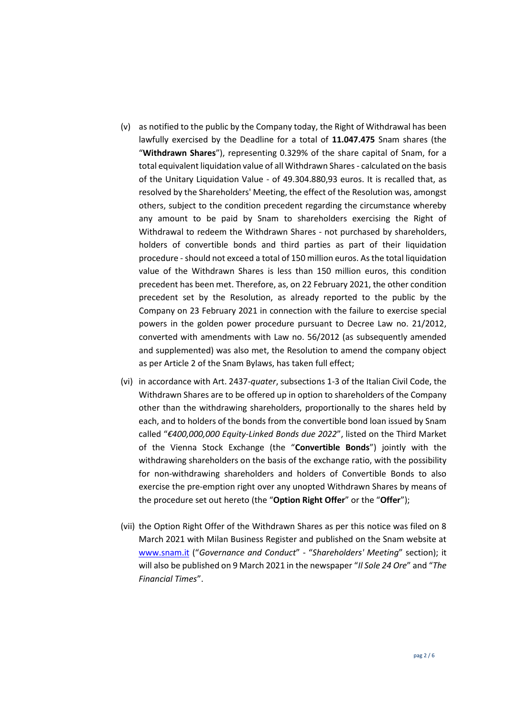- (v) as notified to the public by the Company today, the Right of Withdrawal has been lawfully exercised by the Deadline for a total of **11.047.475** Snam shares (the "**Withdrawn Shares**"), representing 0.329% of the share capital of Snam, for a total equivalent liquidation value of all Withdrawn Shares - calculated on the basis of the Unitary Liquidation Value - of 49.304.880,93 euros. It is recalled that, as resolved by the Shareholders' Meeting, the effect of the Resolution was, amongst others, subject to the condition precedent regarding the circumstance whereby any amount to be paid by Snam to shareholders exercising the Right of Withdrawal to redeem the Withdrawn Shares - not purchased by shareholders, holders of convertible bonds and third parties as part of their liquidation procedure -should not exceed a total of 150 million euros. As the total liquidation value of the Withdrawn Shares is less than 150 million euros, this condition precedent has been met. Therefore, as, on 22 February 2021, the other condition precedent set by the Resolution, as already reported to the public by the Company on 23 February 2021 in connection with the failure to exercise special powers in the golden power procedure pursuant to Decree Law no. 21/2012, converted with amendments with Law no. 56/2012 (as subsequently amended and supplemented) was also met, the Resolution to amend the company object as per Article 2 of the Snam Bylaws, has taken full effect;
- (vi) in accordance with Art. 2437-*quater*, subsections 1-3 of the Italian Civil Code, the Withdrawn Shares are to be offered up in option to shareholders of the Company other than the withdrawing shareholders, proportionally to the shares held by each, and to holders of the bonds from the convertible bond loan issued by Snam called "*€400,000,000 Equity-Linked Bonds due 2022*", listed on the Third Market of the Vienna Stock Exchange (the "**Convertible Bonds**") jointly with the withdrawing shareholders on the basis of the exchange ratio, with the possibility for non-withdrawing shareholders and holders of Convertible Bonds to also exercise the pre-emption right over any unopted Withdrawn Shares by means of the procedure set out hereto (the "**Option Right Offer**" or the "**Offer**");
- (vii) the Option Right Offer of the Withdrawn Shares as per this notice was filed on 8 March 2021 with Milan Business Register and published on the Snam website at [www.snam.it](http://www.snam.it/) ("*Governance and Conduct*" - "*Shareholders' Meeting*" section); it will also be published on 9 March 2021 in the newspaper "*Il Sole 24 Ore*" and "*The Financial Times*".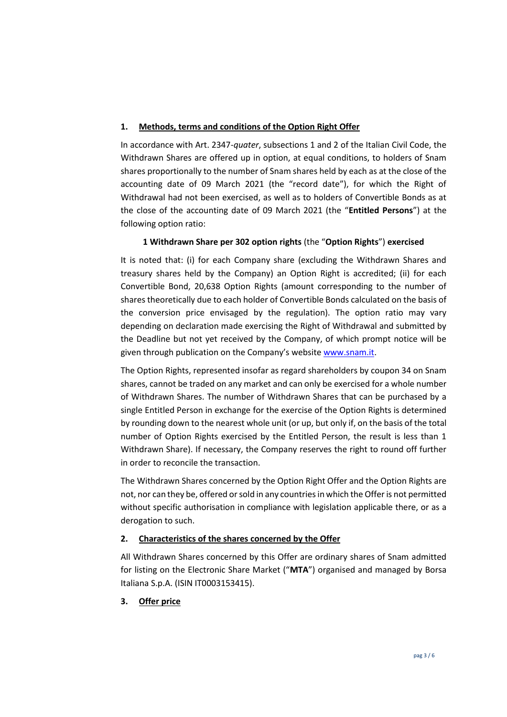### **1. Methods, terms and conditions of the Option Right Offer**

In accordance with Art. 2347-*quater*, subsections 1 and 2 of the Italian Civil Code, the Withdrawn Shares are offered up in option, at equal conditions, to holders of Snam shares proportionally to the number of Snam shares held by each as at the close of the accounting date of 09 March 2021 (the "record date"), for which the Right of Withdrawal had not been exercised, as well as to holders of Convertible Bonds as at the close of the accounting date of 09 March 2021 (the "**Entitled Persons**") at the following option ratio:

## **1 Withdrawn Share per 302 option rights** (the "**Option Rights**") **exercised**

It is noted that: (i) for each Company share (excluding the Withdrawn Shares and treasury shares held by the Company) an Option Right is accredited; (ii) for each Convertible Bond, 20,638 Option Rights (amount corresponding to the number of shares theoretically due to each holder of Convertible Bonds calculated on the basis of the conversion price envisaged by the regulation). The option ratio may vary depending on declaration made exercising the Right of Withdrawal and submitted by the Deadline but not yet received by the Company, of which prompt notice will be given through publication on the Company's website [www.snam.it.](http://www.snam.it/)

The Option Rights, represented insofar as regard shareholders by coupon 34 on Snam shares, cannot be traded on any market and can only be exercised for a whole number of Withdrawn Shares. The number of Withdrawn Shares that can be purchased by a single Entitled Person in exchange for the exercise of the Option Rights is determined by rounding down to the nearest whole unit (or up, but only if, on the basis of the total number of Option Rights exercised by the Entitled Person, the result is less than 1 Withdrawn Share). If necessary, the Company reserves the right to round off further in order to reconcile the transaction.

The Withdrawn Shares concerned by the Option Right Offer and the Option Rights are not, nor can they be, offered or sold in any countries in which the Offer is not permitted without specific authorisation in compliance with legislation applicable there, or as a derogation to such.

#### **2. Characteristics of the shares concerned by the Offer**

All Withdrawn Shares concerned by this Offer are ordinary shares of Snam admitted for listing on the Electronic Share Market ("**MTA**") organised and managed by Borsa Italiana S.p.A. (ISIN IT0003153415).

## **3. Offer price**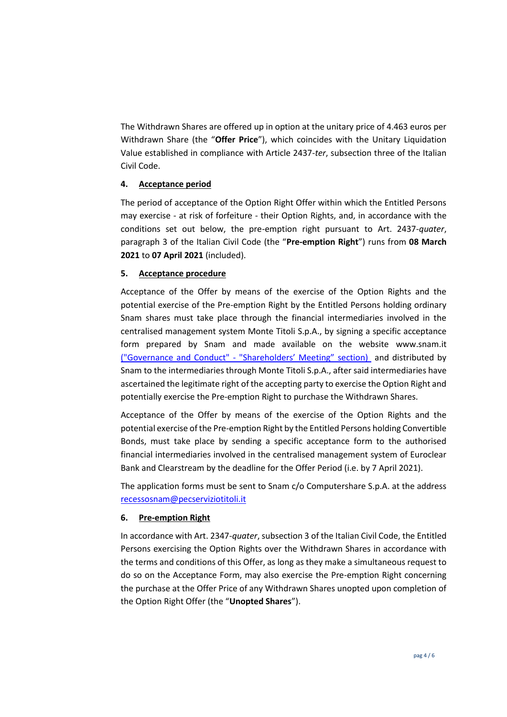The Withdrawn Shares are offered up in option at the unitary price of 4.463 euros per Withdrawn Share (the "**Offer Price**"), which coincides with the Unitary Liquidation Value established in compliance with Article 2437-*ter*, subsection three of the Italian Civil Code.

## **4. Acceptance period**

The period of acceptance of the Option Right Offer within which the Entitled Persons may exercise - at risk of forfeiture - their Option Rights, and, in accordance with the conditions set out below, the pre-emption right pursuant to Art. 2437-*quater*, paragraph 3 of the Italian Civil Code (the "**Pre-emption Right**") runs from **08 March 2021** to **07 April 2021** (included).

#### **5. Acceptance procedure**

Acceptance of the Offer by means of the exercise of the Option Rights and the potential exercise of the Pre-emption Right by the Entitled Persons holding ordinary Snam shares must take place through the financial intermediaries involved in the centralised management system Monte Titoli S.p.A., by signing a specific acceptance form prepared by Snam and made available on the website www.snam.it ("Governance and Conduct" - "Shareholders' Meeting" section) and distributed by Snam to the intermediaries through Monte Titoli S.p.A., after said intermediaries have ascertained the legitimate right of the accepting party to exercise the Option Right and potentially exercise the Pre-emption Right to purchase the Withdrawn Shares.

Acceptance of the Offer by means of the exercise of the Option Rights and the potential exercise of the Pre-emption Right by the Entitled Persons holding Convertible Bonds, must take place by sending a specific acceptance form to the authorised financial intermediaries involved in the centralised management system of Euroclear Bank and Clearstream by the deadline for the Offer Period (i.e. by 7 April 2021).

The application forms must be sent to Snam c/o Computershare S.p.A. at the address [recessosnam@pecserviziotitoli.it](mailto:recessosnam@pecserviziotitoli.it)

#### **6. Pre-emption Right**

In accordance with Art. 2347-*quater*, subsection 3 of the Italian Civil Code, the Entitled Persons exercising the Option Rights over the Withdrawn Shares in accordance with the terms and conditions of this Offer, as long as they make a simultaneous request to do so on the Acceptance Form, may also exercise the Pre-emption Right concerning the purchase at the Offer Price of any Withdrawn Shares unopted upon completion of the Option Right Offer (the "**Unopted Shares**").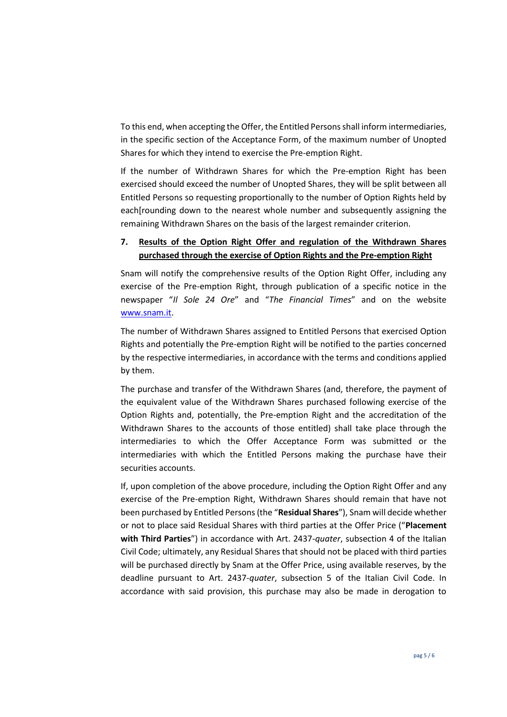To this end, when accepting the Offer, the Entitled Persons shall inform intermediaries, in the specific section of the Acceptance Form, of the maximum number of Unopted Shares for which they intend to exercise the Pre-emption Right.

If the number of Withdrawn Shares for which the Pre-emption Right has been exercised should exceed the number of Unopted Shares, they will be split between all Entitled Persons so requesting proportionally to the number of Option Rights held by each[rounding down to the nearest whole number and subsequently assigning the remaining Withdrawn Shares on the basis of the largest remainder criterion.

## **7. Results of the Option Right Offer and regulation of the Withdrawn Shares purchased through the exercise of Option Rights and the Pre-emption Right**

Snam will notify the comprehensive results of the Option Right Offer, including any exercise of the Pre-emption Right, through publication of a specific notice in the newspaper "*Il Sole 24 Ore*" and "*The Financial Times*" and on the website [www.snam.it.](http://www.snam.it/)

The number of Withdrawn Shares assigned to Entitled Persons that exercised Option Rights and potentially the Pre-emption Right will be notified to the parties concerned by the respective intermediaries, in accordance with the terms and conditions applied by them.

The purchase and transfer of the Withdrawn Shares (and, therefore, the payment of the equivalent value of the Withdrawn Shares purchased following exercise of the Option Rights and, potentially, the Pre-emption Right and the accreditation of the Withdrawn Shares to the accounts of those entitled) shall take place through the intermediaries to which the Offer Acceptance Form was submitted or the intermediaries with which the Entitled Persons making the purchase have their securities accounts.

If, upon completion of the above procedure, including the Option Right Offer and any exercise of the Pre-emption Right, Withdrawn Shares should remain that have not been purchased by Entitled Persons (the "**Residual Shares**"), Snam will decide whether or not to place said Residual Shares with third parties at the Offer Price ("**Placement with Third Parties**") in accordance with Art. 2437-*quater*, subsection 4 of the Italian Civil Code; ultimately, any Residual Shares that should not be placed with third parties will be purchased directly by Snam at the Offer Price, using available reserves, by the deadline pursuant to Art. 2437-*quater*, subsection 5 of the Italian Civil Code. In accordance with said provision, this purchase may also be made in derogation to